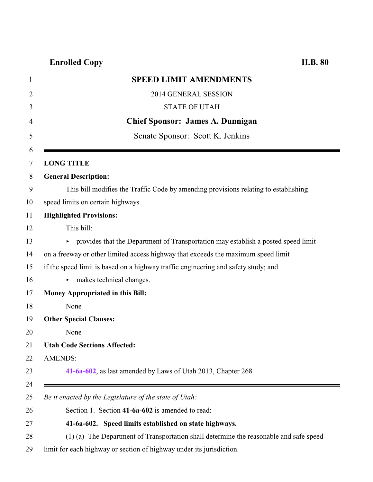## **Enrolled Copy H.B. 80**

| <b>SPEED LIMIT AMENDMENTS</b>                                                          |
|----------------------------------------------------------------------------------------|
|                                                                                        |
| 2014 GENERAL SESSION                                                                   |
| <b>STATE OF UTAH</b>                                                                   |
| <b>Chief Sponsor: James A. Dunnigan</b>                                                |
| Senate Sponsor: Scott K. Jenkins                                                       |
|                                                                                        |
| <b>LONG TITLE</b>                                                                      |
| <b>General Description:</b>                                                            |
| This bill modifies the Traffic Code by amending provisions relating to establishing    |
| speed limits on certain highways.                                                      |
| <b>Highlighted Provisions:</b>                                                         |
| This bill:                                                                             |
| provides that the Department of Transportation may establish a posted speed limit      |
| on a freeway or other limited access highway that exceeds the maximum speed limit      |
| if the speed limit is based on a highway traffic engineering and safety study; and     |
| makes technical changes.<br>Þ.                                                         |
| <b>Money Appropriated in this Bill:</b>                                                |
| None                                                                                   |
| <b>Other Special Clauses:</b>                                                          |
| None                                                                                   |
| <b>Utah Code Sections Affected:</b>                                                    |
| <b>AMENDS:</b>                                                                         |
| 41-6a-602, as last amended by Laws of Utah 2013, Chapter 268                           |
|                                                                                        |
| Be it enacted by the Legislature of the state of Utah:                                 |
| Section 1. Section 41-6a-602 is amended to read:                                       |
| 41-6a-602. Speed limits established on state highways.                                 |
| (1) (a) The Department of Transportation shall determine the reasonable and safe speed |

<span id="page-0-0"></span>limit for each highway or section of highway under its jurisdiction.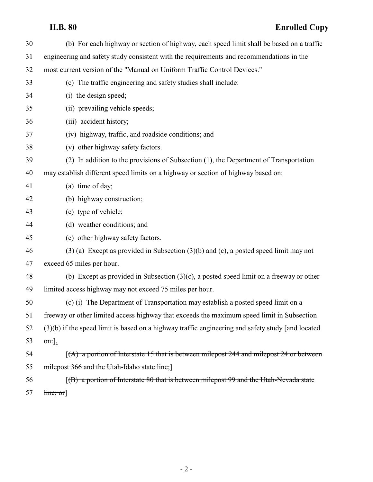## **H.B. 80 Enrolled Copy**

| 30 | (b) For each highway or section of highway, each speed limit shall be based on a traffic             |
|----|------------------------------------------------------------------------------------------------------|
| 31 | engineering and safety study consistent with the requirements and recommendations in the             |
| 32 | most current version of the "Manual on Uniform Traffic Control Devices."                             |
| 33 | (c) The traffic engineering and safety studies shall include:                                        |
| 34 | (i) the design speed;                                                                                |
| 35 | (ii) prevailing vehicle speeds;                                                                      |
| 36 | (iii) accident history;                                                                              |
| 37 | (iv) highway, traffic, and roadside conditions; and                                                  |
| 38 | (v) other highway safety factors.                                                                    |
| 39 | (2) In addition to the provisions of Subsection (1), the Department of Transportation                |
| 40 | may establish different speed limits on a highway or section of highway based on:                    |
| 41 | (a) time of day;                                                                                     |
| 42 | (b) highway construction;                                                                            |
| 43 | (c) type of vehicle;                                                                                 |
| 44 | (d) weather conditions; and                                                                          |
| 45 | (e) other highway safety factors.                                                                    |
| 46 | $(3)$ (a) Except as provided in Subsection $(3)(b)$ and $(c)$ , a posted speed limit may not         |
| 47 | exceed 65 miles per hour.                                                                            |
| 48 | (b) Except as provided in Subsection $(3)(c)$ , a posted speed limit on a freeway or other           |
| 49 | limited access highway may not exceed 75 miles per hour.                                             |
| 50 | (c) (i) The Department of Transportation may establish a posted speed limit on a                     |
| 51 | freeway or other limited access highway that exceeds the maximum speed limit in Subsection           |
| 52 | $(3)(b)$ if the speed limit is based on a highway traffic engineering and safety study [and located] |
| 53 | $\sigma$ n:].                                                                                        |
| 54 | $(A)$ a portion of Interstate 15 that is between milepost 244 and milepost 24 or between             |
| 55 | milepost 366 and the Utah-Idaho state line;                                                          |
| 56 | $f(B)$ a portion of Interstate 80 that is between milepost 99 and the Utah-Nevada state              |
| 57 | $\lim_{\epsilon \to 0}$                                                                              |